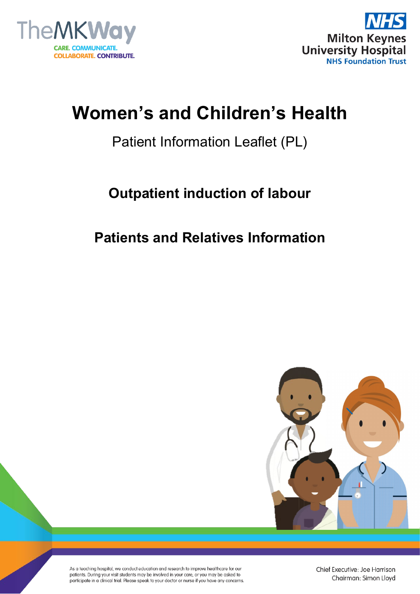



# **Women's and Children's Health**

## Patient Information Leaflet (PL)

## **Outpatient induction of labour**

### **Patients and Relatives Information**



As a teaching hospital, we conduct education and research to improve healthcare for our patients. During your visit students may be involved in your care, or you may be asked to participate in a clinical trial. Please speak to your doctor or nurse if you have any concerns.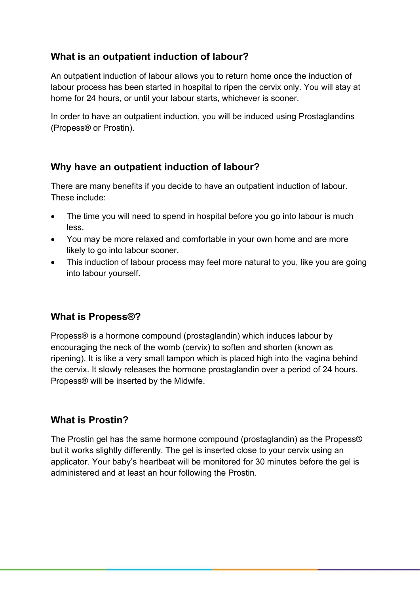#### **What is an outpatient induction of labour?**

An outpatient induction of labour allows you to return home once the induction of labour process has been started in hospital to ripen the cervix only. You will stay at home for 24 hours, or until your labour starts, whichever is sooner.

In order to have an outpatient induction, you will be induced using Prostaglandins (Propess® or Prostin).

#### **Why have an outpatient induction of labour?**

There are many benefits if you decide to have an outpatient induction of labour. These include:

- The time you will need to spend in hospital before you go into labour is much less.
- You may be more relaxed and comfortable in your own home and are more likely to go into labour sooner.
- This induction of labour process may feel more natural to you, like you are going into labour yourself.

#### **What is Propess®?**

Propess® is a hormone compound (prostaglandin) which induces labour by encouraging the neck of the womb (cervix) to soften and shorten (known as ripening). It is like a very small tampon which is placed high into the vagina behind the cervix. It slowly releases the hormone prostaglandin over a period of 24 hours. Propess® will be inserted by the Midwife.

#### **What is Prostin?**

The Prostin gel has the same hormone compound (prostaglandin) as the Propess® but it works slightly differently. The gel is inserted close to your cervix using an applicator. Your baby's heartbeat will be monitored for 30 minutes before the gel is administered and at least an hour following the Prostin.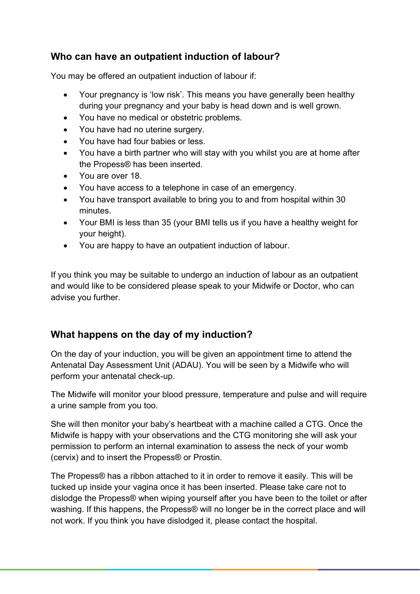#### **Who can have an outpatient induction of labour?**

You may be offered an outpatient induction of labour if:

- Your pregnancy is 'low risk'. This means you have generally been healthy during your pregnancy and your baby is head down and is well grown.
- You have no medical or obstetric problems.
- You have had no uterine surgery.
- You have had four babies or less.
- You have a birth partner who will stay with you whilst you are at home after the Propess® has been inserted.
- You are over 18.
- You have access to a telephone in case of an emergency.
- You have transport available to bring you to and from hospital within 30 minutes.
- Your BMI is less than 35 (your BMI tells us if you have a healthy weight for your height).
- You are happy to have an outpatient induction of labour.

If you think you may be suitable to undergo an induction of labour as an outpatient and would like to be considered please speak to your Midwife or Doctor, who can advise you further.

#### **What happens on the day of my induction?**

On the day of your induction, you will be given an appointment time to attend the Antenatal Day Assessment Unit (ADAU). You will be seen by a Midwife who will perform your antenatal check-up.

The Midwife will monitor your blood pressure, temperature and pulse and will require a urine sample from you too.

She will then monitor your baby's heartbeat with a machine called a CTG. Once the Midwife is happy with your observations and the CTG monitoring she will ask your permission to perform an internal examination to assess the neck of your womb (cervix) and to insert the Propess® or Prostin.

The Propess® has a ribbon attached to it in order to remove it easily. This will be tucked up inside your vagina once it has been inserted. Please take care not to dislodge the Propess® when wiping yourself after you have been to the toilet or after washing. If this happens, the Propess® will no longer be in the correct place and will not work. If you think you have dislodged it, please contact the hospital.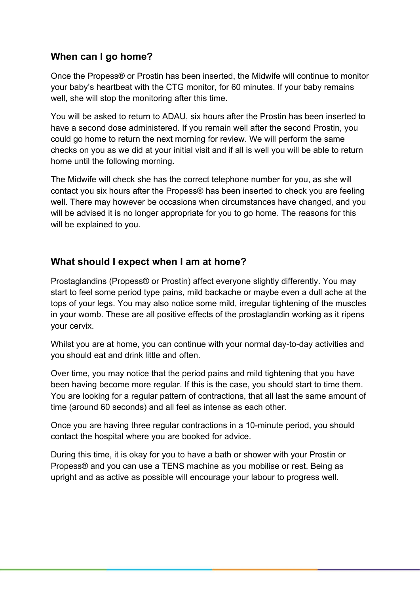#### **When can I go home?**

Once the Propess® or Prostin has been inserted, the Midwife will continue to monitor your baby's heartbeat with the CTG monitor, for 60 minutes. If your baby remains well, she will stop the monitoring after this time.

You will be asked to return to ADAU, six hours after the Prostin has been inserted to have a second dose administered. If you remain well after the second Prostin, you could go home to return the next morning for review. We will perform the same checks on you as we did at your initial visit and if all is well you will be able to return home until the following morning.

The Midwife will check she has the correct telephone number for you, as she will contact you six hours after the Propess® has been inserted to check you are feeling well. There may however be occasions when circumstances have changed, and you will be advised it is no longer appropriate for you to go home. The reasons for this will be explained to you.

#### **What should I expect when I am at home?**

Prostaglandins (Propess® or Prostin) affect everyone slightly differently. You may start to feel some period type pains, mild backache or maybe even a dull ache at the tops of your legs. You may also notice some mild, irregular tightening of the muscles in your womb. These are all positive effects of the prostaglandin working as it ripens your cervix.

Whilst you are at home, you can continue with your normal day-to-day activities and you should eat and drink little and often.

Over time, you may notice that the period pains and mild tightening that you have been having become more regular. If this is the case, you should start to time them. You are looking for a regular pattern of contractions, that all last the same amount of time (around 60 seconds) and all feel as intense as each other.

Once you are having three regular contractions in a 10-minute period, you should contact the hospital where you are booked for advice.

During this time, it is okay for you to have a bath or shower with your Prostin or Propess® and you can use a TENS machine as you mobilise or rest. Being as upright and as active as possible will encourage your labour to progress well.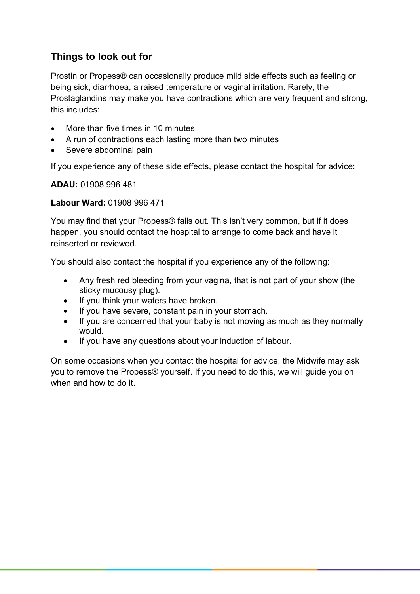### **Things to look out for**

Prostin or Propess® can occasionally produce mild side effects such as feeling or being sick, diarrhoea, a raised temperature or vaginal irritation. Rarely, the Prostaglandins may make you have contractions which are very frequent and strong, this includes:

- More than five times in 10 minutes
- A run of contractions each lasting more than two minutes
- Severe abdominal pain

If you experience any of these side effects, please contact the hospital for advice:

**ADAU:** 01908 996 481

#### **Labour Ward:** 01908 996 471

You may find that your Propess® falls out. This isn't very common, but if it does happen, you should contact the hospital to arrange to come back and have it reinserted or reviewed.

You should also contact the hospital if you experience any of the following:

- Any fresh red bleeding from your vagina, that is not part of your show (the sticky mucousy plug).
- If you think your waters have broken.
- If you have severe, constant pain in your stomach.
- If you are concerned that your baby is not moving as much as they normally would.
- If you have any questions about your induction of labour.

On some occasions when you contact the hospital for advice, the Midwife may ask you to remove the Propess® yourself. If you need to do this, we will guide you on when and how to do it.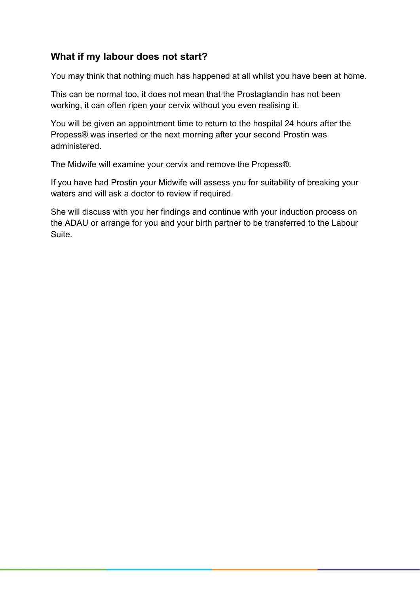#### **What if my labour does not start?**

You may think that nothing much has happened at all whilst you have been at home.

This can be normal too, it does not mean that the Prostaglandin has not been working, it can often ripen your cervix without you even realising it.

You will be given an appointment time to return to the hospital 24 hours after the Propess® was inserted or the next morning after your second Prostin was administered.

The Midwife will examine your cervix and remove the Propess®.

If you have had Prostin your Midwife will assess you for suitability of breaking your waters and will ask a doctor to review if required.

She will discuss with you her findings and continue with your induction process on the ADAU or arrange for you and your birth partner to be transferred to the Labour Suite.